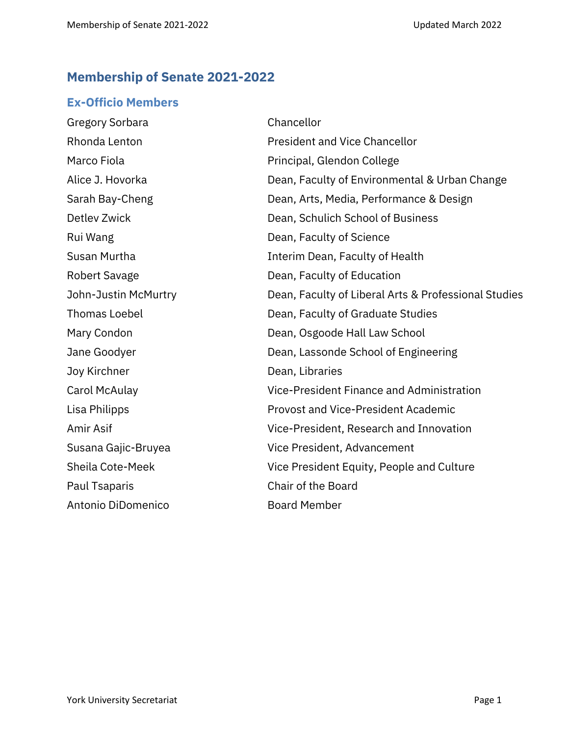# **Membership of Senate 2021-2022**

## **Ex-Officio Members**

| Gregory Sorbara      | Chancellor                                           |
|----------------------|------------------------------------------------------|
| Rhonda Lenton        | <b>President and Vice Chancellor</b>                 |
| Marco Fiola          | Principal, Glendon College                           |
| Alice J. Hovorka     | Dean, Faculty of Environmental & Urban Change        |
| Sarah Bay-Cheng      | Dean, Arts, Media, Performance & Design              |
| Detlev Zwick         | Dean, Schulich School of Business                    |
| Rui Wang             | Dean, Faculty of Science                             |
| Susan Murtha         | Interim Dean, Faculty of Health                      |
| Robert Savage        | Dean, Faculty of Education                           |
| John-Justin McMurtry | Dean, Faculty of Liberal Arts & Professional Studies |
| <b>Thomas Loebel</b> | Dean, Faculty of Graduate Studies                    |
| Mary Condon          | Dean, Osgoode Hall Law School                        |
| Jane Goodyer         | Dean, Lassonde School of Engineering                 |
| Joy Kirchner         | Dean, Libraries                                      |
| Carol McAulay        | Vice-President Finance and Administration            |
| Lisa Philipps        | <b>Provost and Vice-President Academic</b>           |
| Amir Asif            | Vice-President, Research and Innovation              |
| Susana Gajic-Bruyea  | Vice President, Advancement                          |
| Sheila Cote-Meek     | Vice President Equity, People and Culture            |
| Paul Tsaparis        | Chair of the Board                                   |
| Antonio DiDomenico   | <b>Board Member</b>                                  |
|                      |                                                      |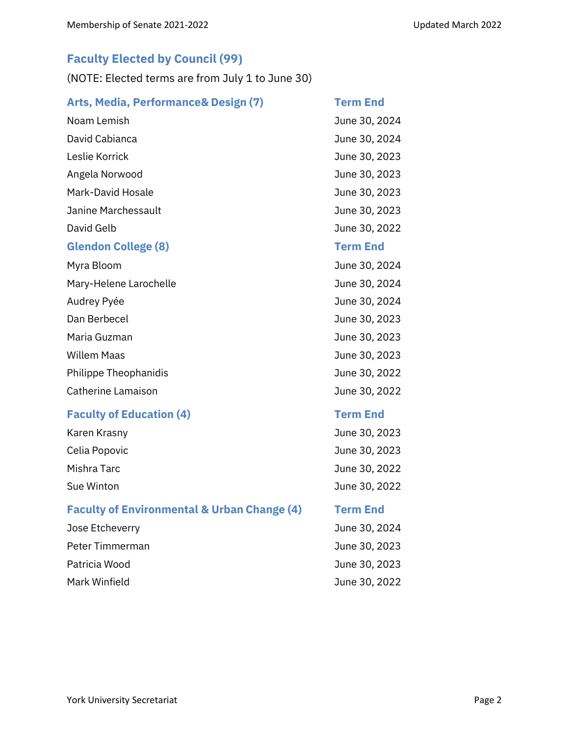## **Faculty Elected by Council (99)**

(NOTE: Elected terms are from July 1 to June 30)

| Arts, Media, Performance& Design (7)             | <b>Term End</b>           |
|--------------------------------------------------|---------------------------|
| Noam Lemish                                      | June 30, 2024             |
| David Cabianca                                   | June 30, 2024             |
| Leslie Korrick                                   | June 30, 2023             |
| Angela Norwood                                   | June 30, 2023             |
| Mark-David Hosale                                | June 30, 2023             |
| Janine Marchessault                              | June 30, 2023             |
| David Gelb                                       | June 30, 2022             |
| <b>Glendon College (8)</b>                       | <b>Term End</b>           |
| Myra Bloom                                       | June 30, 2024             |
| Mary-Helene Larochelle                           | June 30, 2024             |
| Audrey Pyée                                      | June 30, 2024             |
| Dan Berbecel                                     | June 30, 2023             |
| Maria Guzman                                     | June 30, 2023             |
| <b>Willem Maas</b>                               | June 30, 2023             |
| Philippe Theophanidis                            | June 30, 2022             |
| Catherine Lamaison                               | June 30, 2022             |
| For a collection of Fig. 1. The collection of AN | 77 - Janet 17, 18, 18, 18 |

## **Faculty of Education (4) Term End**

| Karen Krasny  | June 30, 2023 |
|---------------|---------------|
| Celia Popovic | June 30, 2023 |
| Mishra Tarc   | June 30, 2022 |
| Sue Winton    | June 30, 2022 |
|               |               |

## **Faculty of Environmental & Urban Change (4) Term End**

| Jose Etcheverry | June 30, 2024 |
|-----------------|---------------|
| Peter Timmerman | June 30, 2023 |
| Patricia Wood   | June 30, 2023 |
| Mark Winfield   | June 30, 2022 |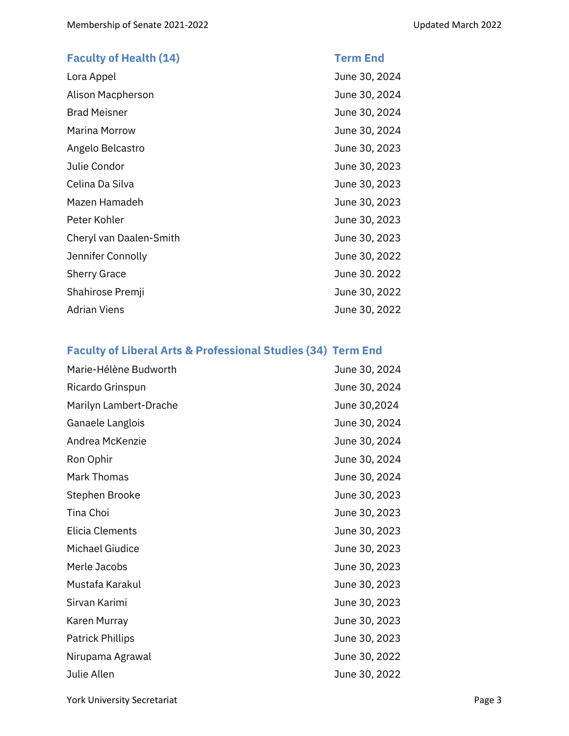# **Faculty of Health (14) Term End** Lora Appel June 30, 2024 Alison Macpherson **Alison Macpherson** Museum Museum 20, 2024 Brad Meisner **International Community** Summer June 30, 2024 Marina Morrow June 30, 2024 Angelo Belcastro **Angelo Belcastro June 30, 2023** Julie Condor June 30, 2023 Celina Da Silva June 30, 2023 Mazen Hamadeh **June 30, 2023** Peter Kohler **Deter Kohler** June 30, 2023 Cheryl van Daalen-Smith  $J$ une 30, 2023 Jennifer Connolly June 30, 2022 Sherry Grace June 30. 2022 Shahirose Premji June 30, 2022 Adrian Viens **Adrian Viens** 2002 100 MHz

#### **Faculty of Liberal Arts & Professional Studies (34) Term End**

| Marie-Hélène Budworth   | June 30, 2024 |
|-------------------------|---------------|
| Ricardo Grinspun        | June 30, 2024 |
| Marilyn Lambert-Drache  | June 30,2024  |
| Ganaele Langlois        | June 30, 2024 |
| Andrea McKenzie         | June 30, 2024 |
| Ron Ophir               | June 30, 2024 |
| <b>Mark Thomas</b>      | June 30, 2024 |
| Stephen Brooke          | June 30, 2023 |
| Tina Choi               | June 30, 2023 |
| Elicia Clements         | June 30, 2023 |
| Michael Giudice         | June 30, 2023 |
| Merle Jacobs            | June 30, 2023 |
| Mustafa Karakul         | June 30, 2023 |
| Sirvan Karimi           | June 30, 2023 |
| Karen Murray            | June 30, 2023 |
| <b>Patrick Phillips</b> | June 30, 2023 |
| Nirupama Agrawal        | June 30, 2022 |
| Julie Allen             | June 30, 2022 |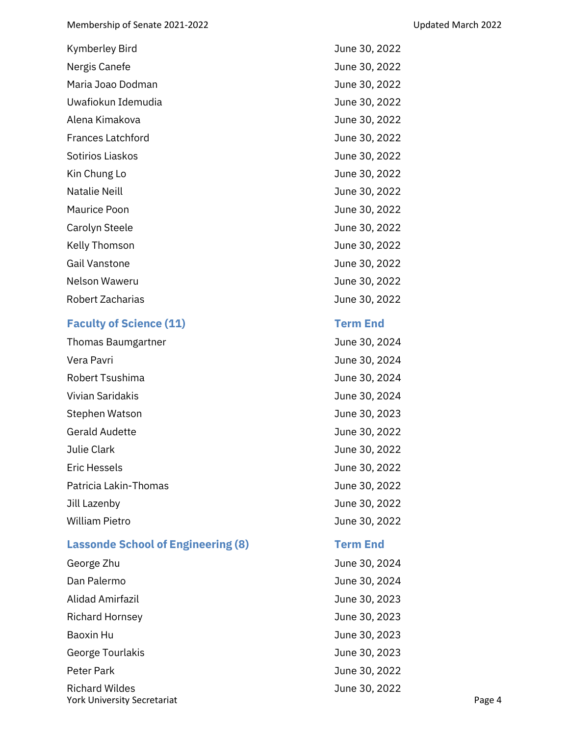| <b>Kymberley Bird</b>    | June 30, 2022 |
|--------------------------|---------------|
| Nergis Canefe            | June 30, 2022 |
| Maria Joao Dodman        | June 30, 2022 |
| Uwafiokun Idemudia       | June 30, 2022 |
| Alena Kimakova           | June 30, 2022 |
| <b>Frances Latchford</b> | June 30, 2022 |
| Sotirios Liaskos         | June 30, 2022 |
| Kin Chung Lo             | June 30, 2022 |
| <b>Natalie Neill</b>     | June 30, 2022 |
| Maurice Poon             | June 30, 2022 |
| Carolyn Steele           | June 30, 2022 |
| Kelly Thomson            | June 30, 2022 |
| <b>Gail Vanstone</b>     | June 30, 2022 |
| Nelson Waweru            | June 30, 2022 |
| Robert Zacharias         | June 30, 2022 |
|                          |               |

## **Faculty of Science (11) Term End**

| Thomas Baumgartner    | June 30, 2024 |
|-----------------------|---------------|
| Vera Pavri            | June 30, 2024 |
| Robert Tsushima       | June 30, 2024 |
| Vivian Saridakis      | June 30, 2024 |
| Stephen Watson        | June 30, 2023 |
| <b>Gerald Audette</b> | June 30, 2022 |
| Julie Clark           | June 30, 2022 |
| <b>Eric Hessels</b>   | June 30, 2022 |
| Patricia Lakin-Thomas | June 30, 2022 |
| Jill Lazenby          | June 30, 2022 |
| <b>William Pietro</b> | June 30, 2022 |

# **Lassonde School of Engineering (8) Term End**

| George Zhu                         | June 30, 2024 |        |
|------------------------------------|---------------|--------|
| Dan Palermo                        | June 30, 2024 |        |
| Alidad Amirfazil                   | June 30, 2023 |        |
| <b>Richard Hornsey</b>             | June 30, 2023 |        |
| Baoxin Hu                          | June 30, 2023 |        |
| George Tourlakis                   | June 30, 2023 |        |
| Peter Park                         | June 30, 2022 |        |
| <b>Richard Wildes</b>              | June 30, 2022 |        |
| <b>York University Secretariat</b> |               | Page 4 |

- 
-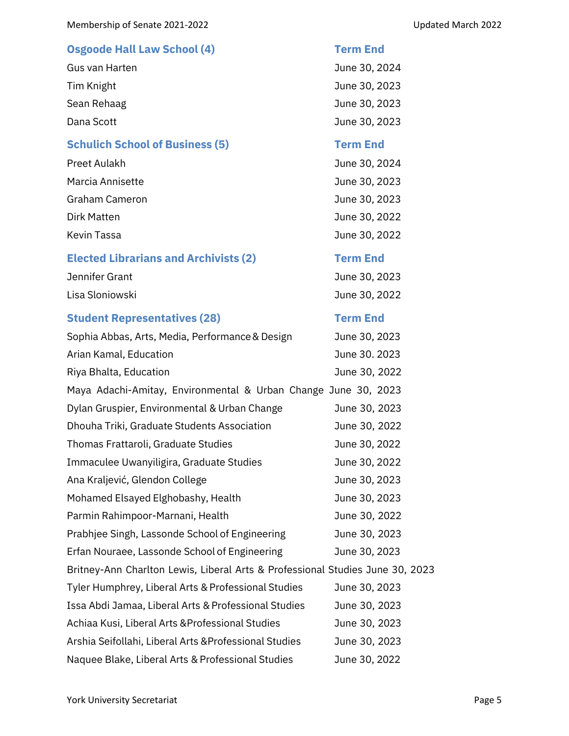## **Osgoode Hall Law School (4) Term End**

Gus van Harten Van Harten Van Harten Van Harten Van Harten Van Harten Van Harten Van Harten Van Harten Van Har Tim Knight **June 30, 2023** Sean Rehaag and a state of the search of the search of the June 30, 2023 Dana Scott June 30, 2023

## **Schulich School of Business (5) Term End**

| Preet Aulakh     | June 30, 2024 |
|------------------|---------------|
| Marcia Annisette | June 30, 2023 |
| Graham Cameron   | June 30, 2023 |
| Dirk Matten      | June 30, 2022 |
| Kevin Tassa      | June 30, 2022 |
|                  |               |

## **Elected Librarians and Archivists (2) Term End**

| Jennifer Grant  | June 30, 2023 |
|-----------------|---------------|
| Lisa Sloniowski | June 30, 2022 |

## **Student Representatives (28) Term End**

| Sophia Abbas, Arts, Media, Performance & Design                               | June 30, 2023 |
|-------------------------------------------------------------------------------|---------------|
| Arian Kamal, Education                                                        | June 30. 2023 |
| Riya Bhalta, Education                                                        | June 30, 2022 |
| Maya Adachi-Amitay, Environmental & Urban Change June 30, 2023                |               |
| Dylan Gruspier, Environmental & Urban Change                                  | June 30, 2023 |
| Dhouha Triki, Graduate Students Association                                   | June 30, 2022 |
| Thomas Frattaroli, Graduate Studies                                           | June 30, 2022 |
| Immaculee Uwanyiligira, Graduate Studies                                      | June 30, 2022 |
| Ana Kraljević, Glendon College                                                | June 30, 2023 |
| Mohamed Elsayed Elghobashy, Health                                            | June 30, 2023 |
| Parmin Rahimpoor-Marnani, Health                                              | June 30, 2022 |
| Prabhjee Singh, Lassonde School of Engineering                                | June 30, 2023 |
| Erfan Nouraee, Lassonde School of Engineering                                 | June 30, 2023 |
| Britney-Ann Charlton Lewis, Liberal Arts & Professional Studies June 30, 2023 |               |
| Tyler Humphrey, Liberal Arts & Professional Studies                           | June 30, 2023 |
| Issa Abdi Jamaa, Liberal Arts & Professional Studies                          | June 30, 2023 |
| Achiaa Kusi, Liberal Arts & Professional Studies                              | June 30, 2023 |
| Arshia Seifollahi, Liberal Arts & Professional Studies                        | June 30, 2023 |
| Naquee Blake, Liberal Arts & Professional Studies                             | June 30, 2022 |